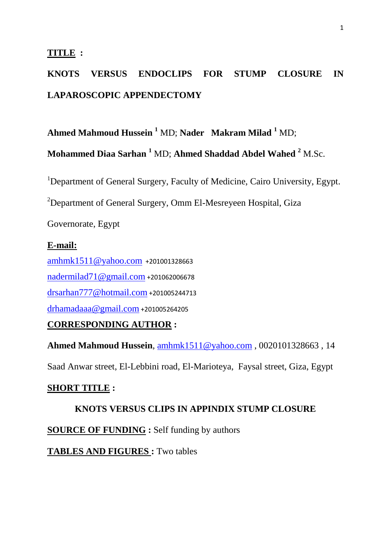### **TITLE :**

# **KNOTS VERSUS ENDOCLIPS FOR STUMP CLOSURE IN LAPAROSCOPIC APPENDECTOMY**

**Ahmed Mahmoud Hussein <sup>1</sup>** MD; **Nader Makram Milad <sup>1</sup>** MD;

**Mohammed Diaa Sarhan <sup>1</sup>** MD; **Ahmed Shaddad Abdel Wahed <sup>2</sup>** M.Sc.

<sup>1</sup>Department of General Surgery, Faculty of Medicine, Cairo University, Egypt.

<sup>2</sup>Department of General Surgery, Omm El-Mesreyeen Hospital, Giza

Governorate, Egypt

## **E-mail:**

[amhmk1511@yahoo.com](mailto:amhmk1511@yahoo.com) +201001328663 [nadermilad71@gmail.com](mailto:nadermilad71@gmail.com) +201062006678 [drsarhan777@hotmail.com](mailto:drsarhan777@hotmail.com) +201005244713 [drhamadaaa@gmail.com](mailto:drhamadaaa@gmail.com) +201005264205

## **CORRESPONDING AUTHOR :**

**Ahmed Mahmoud Hussein**, [amhmk1511@yahoo.com](mailto:amhmk1511@yahoo.com) , 0020101328663 , 14

Saad Anwar street, El-Lebbini road, El-Marioteya, Faysal street, Giza, Egypt

## **SHORT TITLE :**

## **KNOTS VERSUS CLIPS IN APPINDIX STUMP CLOSURE**

**SOURCE OF FUNDING :** Self funding by authors

**TABLES AND FIGURES :** Two tables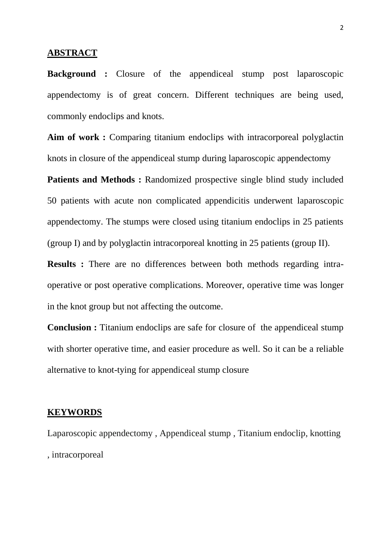#### **ABSTRACT**

**Background :** Closure of the appendiceal stump post laparoscopic appendectomy is of great concern. Different techniques are being used, commonly endoclips and knots.

Aim of work : Comparing titanium endoclips with intracorporeal polyglactin knots in closure of the appendiceal stump during laparoscopic appendectomy

**Patients and Methods :** Randomized prospective single blind study included 50 patients with acute non complicated appendicitis underwent laparoscopic appendectomy. The stumps were closed using titanium endoclips in 25 patients (group I) and by polyglactin intracorporeal knotting in 25 patients (group II).

**Results :** There are no differences between both methods regarding intraoperative or post operative complications. Moreover, operative time was longer in the knot group but not affecting the outcome.

**Conclusion :** Titanium endoclips are safe for closure of the appendiceal stump with shorter operative time, and easier procedure as well. So it can be a reliable alternative to knot-tying for appendiceal stump closure

#### **KEYWORDS**

Laparoscopic appendectomy , Appendiceal stump , Titanium endoclip, knotting , intracorporeal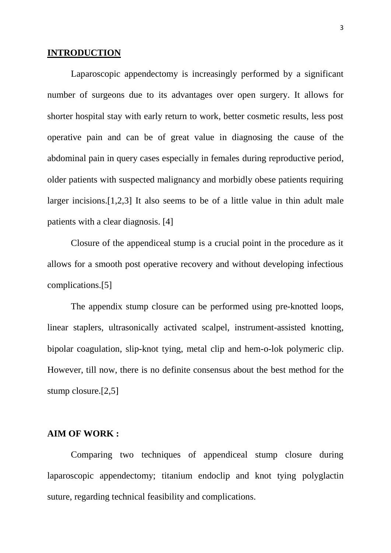#### **INTRODUCTION**

Laparoscopic appendectomy is increasingly performed by a significant number of surgeons due to its advantages over open surgery. It allows for shorter hospital stay with early return to work, better cosmetic results, less post operative pain and can be of great value in diagnosing the cause of the abdominal pain in query cases especially in females during reproductive period, older patients with suspected malignancy and morbidly obese patients requiring larger incisions.[1,2,3] It also seems to be of a little value in thin adult male patients with a clear diagnosis. [4]

Closure of the appendiceal stump is a crucial point in the procedure as it allows for a smooth post operative recovery and without developing infectious complications.[5]

The appendix stump closure can be performed using pre-knotted loops, linear staplers, ultrasonically activated scalpel, instrument-assisted knotting, bipolar coagulation, slip-knot tying, metal clip and hem-o-lok polymeric clip. However, till now, there is no definite consensus about the best method for the stump closure.[2,5]

#### **AIM OF WORK :**

Comparing two techniques of appendiceal stump closure during laparoscopic appendectomy; titanium endoclip and knot tying polyglactin suture, regarding technical feasibility and complications.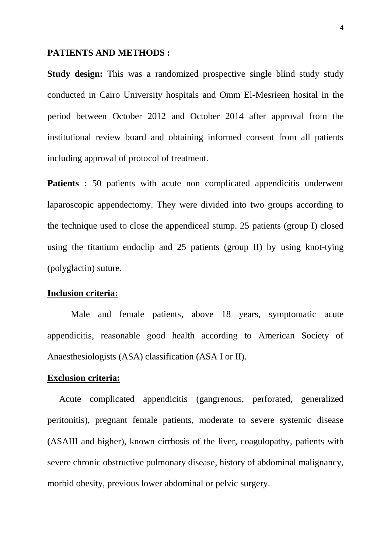#### **PATIENTS AND METHODS :**

**Study design:** This was a randomized prospective single blind study study conducted in Cairo University hospitals and Omm El-Mesrieen hosital in the period between October 2012 and October 2014 after approval from the institutional review board and obtaining informed consent from all patients including approval of protocol of treatment.

**Patients :** 50 patients with acute non complicated appendicitis underwent laparoscopic appendectomy. They were divided into two groups according to the technique used to close the appendiceal stump. 25 patients (group I) closed using the titanium endoclip and 25 patients (group II) by using knot-tying (polyglactin) suture.

## **Inclusion criteria:**

Male and female patients, above 18 years, symptomatic acute appendicitis, reasonable good health according to American Society of Anaesthesiologists (ASA) classification (ASA I or II).

## **Exclusion criteria:**

Acute complicated appendicitis (gangrenous, perforated, generalized peritonitis), pregnant female patients, moderate to severe systemic disease (ASAIII and higher), known cirrhosis of the liver, coagulopathy, patients with severe chronic obstructive pulmonary disease, history of abdominal malignancy, morbid obesity, previous lower abdominal or pelvic surgery.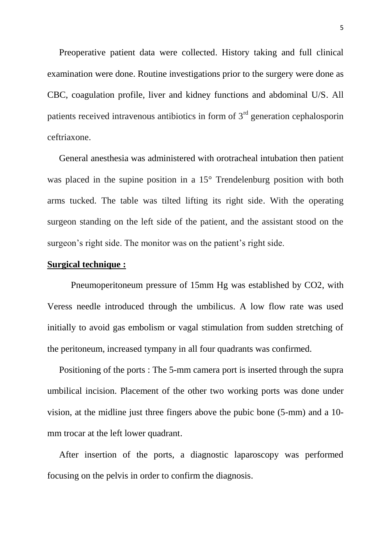Preoperative patient data were collected. History taking and full clinical examination were done. Routine investigations prior to the surgery were done as CBC, coagulation profile, liver and kidney functions and abdominal U/S. All patients received intravenous antibiotics in form of  $3<sup>rd</sup>$  generation cephalosporin ceftriaxone.

General anesthesia was administered with orotracheal intubation then patient was placed in the supine position in a 15° Trendelenburg position with both arms tucked. The table was tilted lifting its right side. With the operating surgeon standing on the left side of the patient, and the assistant stood on the surgeon's right side. The monitor was on the patient's right side.

### **Surgical technique :**

Pneumoperitoneum pressure of 15mm Hg was established by CO2, with Veress needle introduced through the umbilicus. A low flow rate was used initially to avoid gas embolism or vagal stimulation from sudden stretching of the peritoneum, increased tympany in all four quadrants was confirmed.

Positioning of the ports : The 5-mm camera port is inserted through the supra umbilical incision. Placement of the other two working ports was done under vision, at the midline just three fingers above the pubic bone (5-mm) and a 10 mm trocar at the left lower quadrant.

After insertion of the ports, a diagnostic laparoscopy was performed focusing on the pelvis in order to confirm the diagnosis.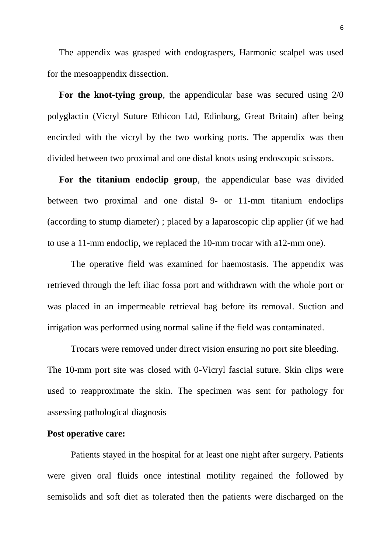The appendix was grasped with endograspers, Harmonic scalpel was used for the mesoappendix dissection.

**For the knot-tying group**, the appendicular base was secured using 2/0 polyglactin (Vicryl Suture Ethicon Ltd, Edinburg, Great Britain) after being encircled with the vicryl by the two working ports. The appendix was then divided between two proximal and one distal knots using endoscopic scissors.

**For the titanium endoclip group**, the appendicular base was divided between two proximal and one distal 9- or 11-mm titanium endoclips (according to stump diameter) ; placed by a laparoscopic clip applier (if we had to use a 11-mm endoclip, we replaced the 10-mm trocar with a12-mm one).

The operative field was examined for haemostasis. The appendix was retrieved through the left iliac fossa port and withdrawn with the whole port or was placed in an impermeable retrieval bag before its removal. Suction and irrigation was performed using normal saline if the field was contaminated.

Trocars were removed under direct vision ensuring no port site bleeding. The 10-mm port site was closed with 0-Vicryl fascial suture. Skin clips were used to reapproximate the skin. The specimen was sent for pathology for assessing pathological diagnosis

#### **Post operative care:**

Patients stayed in the hospital for at least one night after surgery. Patients were given oral fluids once intestinal motility regained the followed by semisolids and soft diet as tolerated then the patients were discharged on the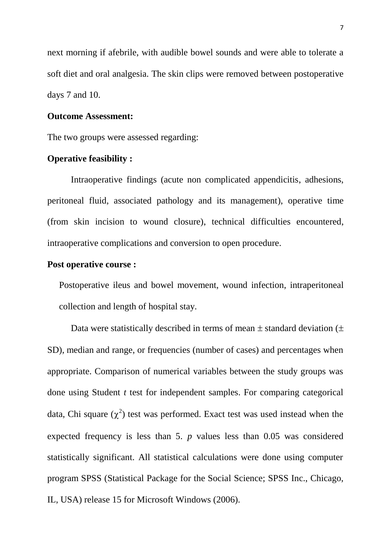next morning if afebrile, with audible bowel sounds and were able to tolerate a soft diet and oral analgesia. The skin clips were removed between postoperative days 7 and 10.

## **Outcome Assessment:**

The two groups were assessed regarding:

#### **Operative feasibility :**

Intraoperative findings (acute non complicated appendicitis, adhesions, peritoneal fluid, associated pathology and its management), operative time (from skin incision to wound closure), technical difficulties encountered, intraoperative complications and conversion to open procedure.

### **Post operative course :**

Postoperative ileus and bowel movement, wound infection, intraperitoneal collection and length of hospital stay.

Data were statistically described in terms of mean  $\pm$  standard deviation ( $\pm$ SD), median and range, or frequencies (number of cases) and percentages when appropriate. Comparison of numerical variables between the study groups was done using Student *t* test for independent samples. For comparing categorical data, Chi square  $(\chi^2)$  test was performed. Exact test was used instead when the expected frequency is less than 5. *p* values less than 0.05 was considered statistically significant. All statistical calculations were done using computer program SPSS (Statistical Package for the Social Science; SPSS Inc., Chicago, IL, USA) release 15 for Microsoft Windows (2006).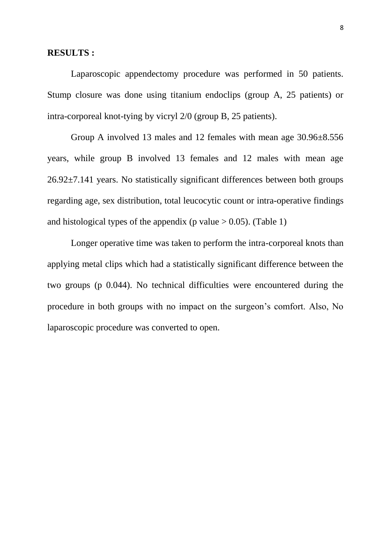#### **RESULTS :**

Laparoscopic appendectomy procedure was performed in 50 patients. Stump closure was done using titanium endoclips (group A, 25 patients) or intra-corporeal knot-tying by vicryl 2/0 (group B, 25 patients).

Group A involved 13 males and 12 females with mean age 30.96±8.556 years, while group B involved 13 females and 12 males with mean age 26.92±7.141 years. No statistically significant differences between both groups regarding age, sex distribution, total leucocytic count or intra-operative findings and histological types of the appendix (p value  $> 0.05$ ). (Table 1)

Longer operative time was taken to perform the intra-corporeal knots than applying metal clips which had a statistically significant difference between the two groups (p 0.044). No technical difficulties were encountered during the procedure in both groups with no impact on the surgeon's comfort. Also, No laparoscopic procedure was converted to open.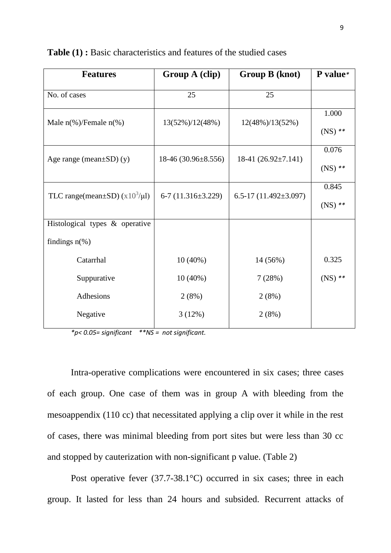| <b>Features</b>                                    | Group A (clip)         | Group B (knot)              | P value*  |
|----------------------------------------------------|------------------------|-----------------------------|-----------|
| No. of cases                                       | 25                     | 25                          |           |
| Male $n$ <sup>(%</sup> )/Female $n$ <sup>(%)</sup> | 13(52%)/12(48%)        | $12(48\%)/13(52\%)$         | 1.000     |
|                                                    |                        |                             | $(NS)$ ** |
| Age range (mean $\pm SD$ ) (y)                     | $18-46(30.96\pm8.556)$ | 18-41 (26.92±7.141)         | 0.076     |
|                                                    |                        |                             | $(NS)$ ** |
| TLC range(mean $\pm$ SD) (x10 <sup>3</sup> /µl)    | $6-7(11.316\pm3.229)$  | 6.5-17 $(11.492 \pm 3.097)$ | 0.845     |
|                                                    |                        |                             | $(NS)$ ** |
| Histological types & operative                     |                        |                             |           |
| findings $n$ <sup>(%)</sup>                        |                        |                             |           |
| Catarrhal                                          | $10(40\%)$             | 14 (56%)                    | 0.325     |
| Suppurative                                        | $10(40\%)$             | 7(28%)                      | $(NS)$ ** |
| Adhesions                                          | 2(8%)                  | 2(8%)                       |           |
| Negative                                           | 3(12%)                 | 2(8%)                       |           |

**Table (1) :** Basic characteristics and features of the studied cases

*\*p< 0.05= significant \*\*NS = not significant.* 

Intra-operative complications were encountered in six cases; three cases of each group. One case of them was in group A with bleeding from the mesoappendix (110 cc) that necessitated applying a clip over it while in the rest of cases, there was minimal bleeding from port sites but were less than 30 cc and stopped by cauterization with non-significant p value. (Table 2)

Post operative fever (37.7-38.1 °C) occurred in six cases; three in each group. It lasted for less than 24 hours and subsided. Recurrent attacks of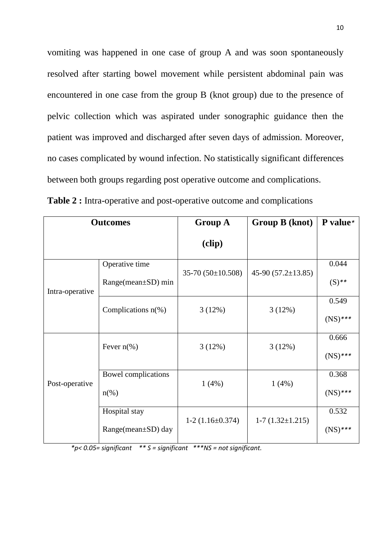vomiting was happened in one case of group A and was soon spontaneously resolved after starting bowel movement while persistent abdominal pain was encountered in one case from the group B (knot group) due to the presence of pelvic collection which was aspirated under sonographic guidance then the patient was improved and discharged after seven days of admission. Moreover, no cases complicated by wound infection. No statistically significant differences between both groups regarding post operative outcome and complications.

| <b>Outcomes</b> |                                  | <b>Group A</b>       | Group B (knot)        | P value*   |
|-----------------|----------------------------------|----------------------|-----------------------|------------|
|                 |                                  | (clip)               |                       |            |
| Intra-operative | Operative time                   |                      |                       | 0.044      |
|                 | $Range-mean \pm SD$ ) min        | $35-70(50\pm10.508)$ | $45-90(57.2\pm13.85)$ | $(S)$ **   |
|                 | Complications $n$ <sup>(%)</sup> | 3(12%)               | 3(12%)                | 0.549      |
|                 |                                  |                      |                       | $(NS)$ *** |
| Post-operative  | Fever $n$ (%)                    | 3(12%)               | 3(12%)                | 0.666      |
|                 |                                  |                      |                       | $(NS)$ *** |
|                 | Bowel complications              |                      | 1(4%)                 | 0.368      |
|                 | $n\left(\%\right)$               | 1(4%)                |                       | $(NS)$ *** |
|                 | Hospital stay                    | $1-2(1.16\pm0.374)$  | $1-7(1.32\pm1.215)$   | 0.532      |
|                 | $Range-mean \pm SD)$ day         |                      |                       | $(NS)$ *** |

**Table 2 :** Intra-operative and post-operative outcome and complications

*\*p< 0.05= significant \*\* S = significant \*\*\*NS = not significant.*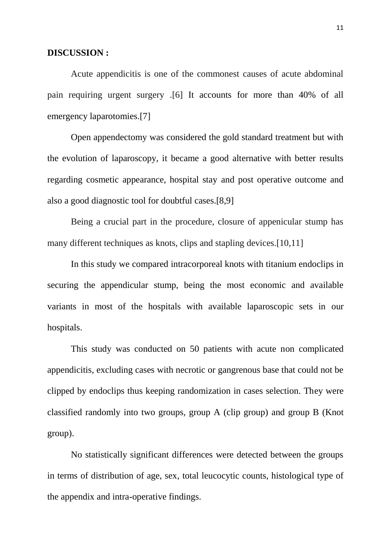#### **DISCUSSION :**

Acute appendicitis is one of the commonest causes of acute abdominal pain requiring urgent surgery .[6] It accounts for more than 40% of all emergency laparotomies.[7]

Open appendectomy was considered the gold standard treatment but with the evolution of laparoscopy, it became a good alternative with better results regarding cosmetic appearance, hospital stay and post operative outcome and also a good diagnostic tool for doubtful cases.[8,9]

Being a crucial part in the procedure, closure of appenicular stump has many different techniques as knots, clips and stapling devices.[10,11]

In this study we compared intracorporeal knots with titanium endoclips in securing the appendicular stump, being the most economic and available variants in most of the hospitals with available laparoscopic sets in our hospitals.

This study was conducted on 50 patients with acute non complicated appendicitis, excluding cases with necrotic or gangrenous base that could not be clipped by endoclips thus keeping randomization in cases selection. They were classified randomly into two groups, group A (clip group) and group B (Knot group).

No statistically significant differences were detected between the groups in terms of distribution of age, sex, total leucocytic counts, histological type of the appendix and intra-operative findings.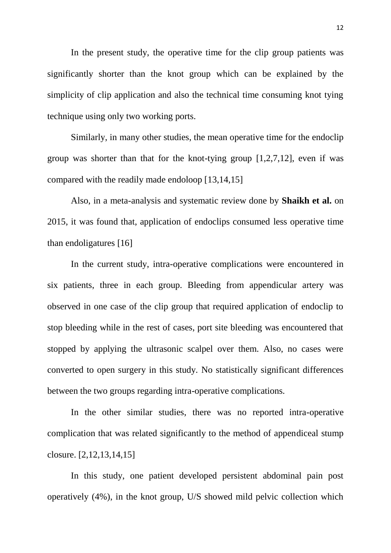In the present study, the operative time for the clip group patients was significantly shorter than the knot group which can be explained by the simplicity of clip application and also the technical time consuming knot tying technique using only two working ports.

Similarly, in many other studies, the mean operative time for the endoclip group was shorter than that for the knot-tying group [1,2,7,12], even if was compared with the readily made endoloop [13,14,15]

Also, in a meta-analysis and systematic review done by **Shaikh et al.** on 2015, it was found that, application of endoclips consumed less operative time than endoligatures [16]

In the current study, intra-operative complications were encountered in six patients, three in each group. Bleeding from appendicular artery was observed in one case of the clip group that required application of endoclip to stop bleeding while in the rest of cases, port site bleeding was encountered that stopped by applying the ultrasonic scalpel over them. Also, no cases were converted to open surgery in this study. No statistically significant differences between the two groups regarding intra-operative complications.

In the other similar studies, there was no reported intra-operative complication that was related significantly to the method of appendiceal stump closure. [2,12,13,14,15]

In this study, one patient developed persistent abdominal pain post operatively (4%), in the knot group, U/S showed mild pelvic collection which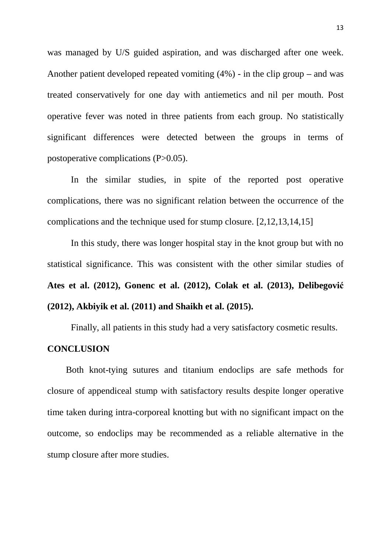was managed by U/S guided aspiration, and was discharged after one week. Another patient developed repeated vomiting (4%) - in the clip group **–** and was treated conservatively for one day with antiemetics and nil per mouth. Post operative fever was noted in three patients from each group. No statistically significant differences were detected between the groups in terms of postoperative complications (P>0.05).

In the similar studies, in spite of the reported post operative complications, there was no significant relation between the occurrence of the complications and the technique used for stump closure. [2,12,13,14,15]

In this study, there was longer hospital stay in the knot group but with no statistical significance. This was consistent with the other similar studies of **Ates et al. (2012), Gonenc et al. (2012), Colak et al. (2013), Delibegović (2012), Akbiyik et al. (2011) and Shaikh et al. (2015).**

Finally, all patients in this study had a very satisfactory cosmetic results.

## **CONCLUSION**

Both knot-tying sutures and titanium endoclips are safe methods for closure of appendiceal stump with satisfactory results despite longer operative time taken during intra-corporeal knotting but with no significant impact on the outcome, so endoclips may be recommended as a reliable alternative in the stump closure after more studies.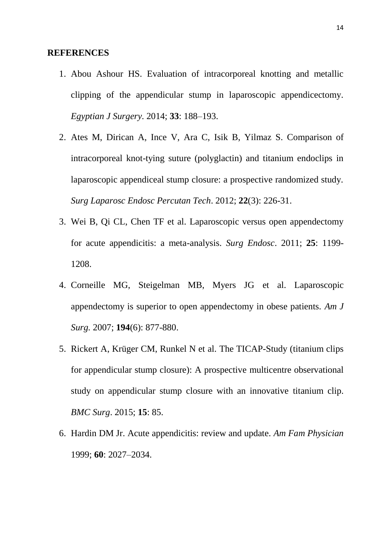#### **REFERENCES**

- 1. Abou Ashour HS. Evaluation of intracorporeal knotting and metallic clipping of the appendicular stump in laparoscopic appendicectomy. *Egyptian J Surgery.* 2014; **33**: 188–193.
- 2. Ates M, Dirican A, Ince V, Ara C, Isik B, Yilmaz S. Comparison of intracorporeal knot-tying suture (polyglactin) and titanium endoclips in laparoscopic appendiceal stump closure: a prospective randomized study. *Surg Laparosc Endosc Percutan Tech*. 2012; **22**(3): 226-31.
- 3. Wei B, Qi CL, Chen TF et al. Laparoscopic versus open appendectomy for acute appendicitis: a meta-analysis. *Surg Endosc*. 2011; **25**: 1199- 1208.
- 4. Corneille MG, Steigelman MB, Myers JG et al. Laparoscopic appendectomy is superior to open appendectomy in obese patients. *Am J Surg.* 2007; **194**(6): 877-880.
- 5. Rickert A, Krüger CM, Runkel N et al. The TICAP-Study (titanium clips for appendicular stump closure): A prospective multicentre observational study on appendicular stump closure with an innovative titanium clip. *BMC Surg*. 2015; **15**: 85.
- 6. Hardin DM Jr. Acute appendicitis: review and update. *Am Fam Physician* 1999; **60**: 2027–2034.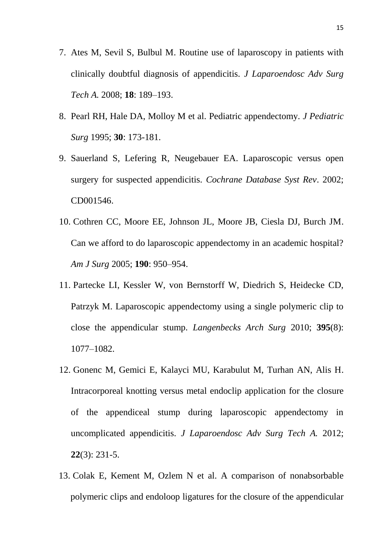- 7. Ates M, Sevil S, Bulbul M. Routine use of laparoscopy in patients with clinically doubtful diagnosis of appendicitis. *J Laparoendosc Adv Surg Tech A.* 2008; **18**: 189–193.
- 8. Pearl RH, Hale DA, Molloy M et al. Pediatric appendectomy. *J Pediatric Surg* 1995; **30**: 173-181.
- 9. Sauerland S, Lefering R, Neugebauer EA. Laparoscopic versus open surgery for suspected appendicitis. *Cochrane Database Syst Rev*. 2002; CD001546.
- 10. Cothren CC, Moore EE, Johnson JL, Moore JB, Ciesla DJ, Burch JM. Can we afford to do laparoscopic appendectomy in an academic hospital? *Am J Surg* 2005; **190**: 950–954.
- 11. Partecke LI, Kessler W, von Bernstorff W, Diedrich S, Heidecke CD, Patrzyk M. Laparoscopic appendectomy using a single polymeric clip to close the appendicular stump. *Langenbecks Arch Surg* 2010; **395**(8): 1077–1082.
- 12. Gonenc M, Gemici E, Kalayci MU, Karabulut M, Turhan AN, Alis H. Intracorporeal knotting versus metal endoclip application for the closure of the appendiceal stump during laparoscopic appendectomy in uncomplicated appendicitis. *J Laparoendosc Adv Surg Tech A.* 2012; **22**(3): 231-5.
- 13. Colak E, Kement M, Ozlem N et al. A comparison of nonabsorbable polymeric clips and endoloop ligatures for the closure of the appendicular